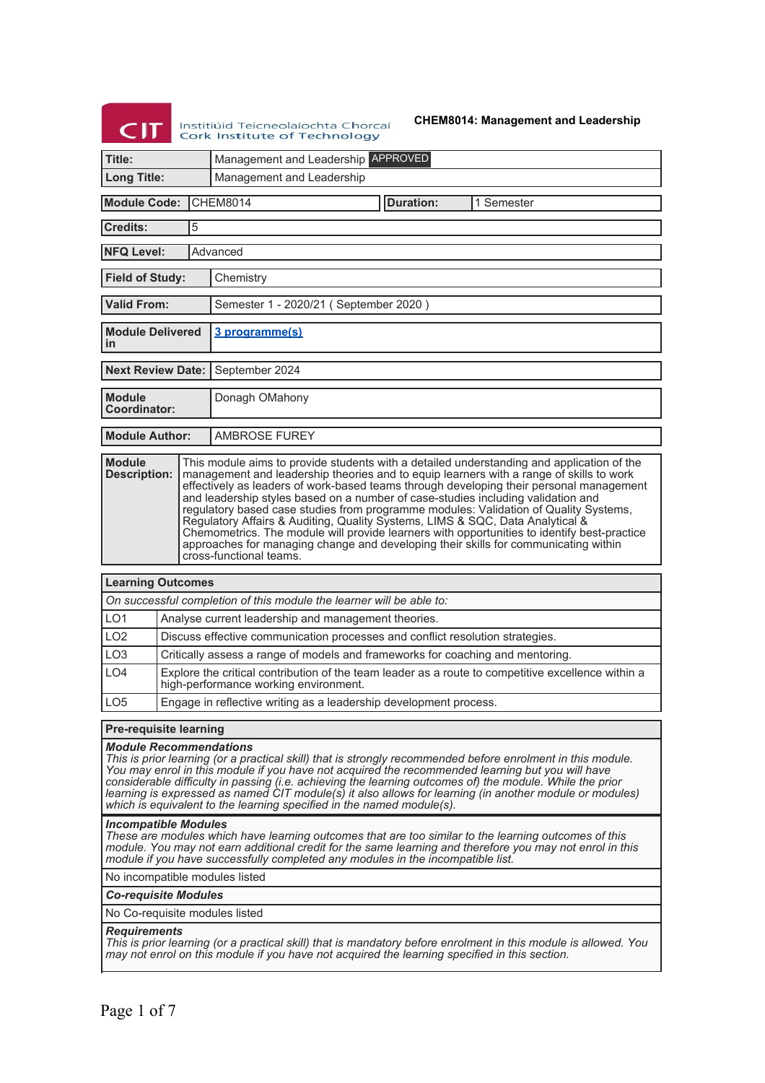# $<sub>CI</sub>$ </sub> Institiúid Teicneolaíochta Chorcaí<br>Cork Institute of Technology

**CHEM8014: Management and Leadership**

| Title:                                                                                                                                                                                                                                                                                                                                                                                                                                                                                                                                                                                                                                                                                                                                                                                                                                                                                                                   |  |   | Management and Leadership APPROVED                                                                                                                                                                                                                                                                                                                                                                                                                                                                                                                                                                                                                                                                                                                            |  |  |  |
|--------------------------------------------------------------------------------------------------------------------------------------------------------------------------------------------------------------------------------------------------------------------------------------------------------------------------------------------------------------------------------------------------------------------------------------------------------------------------------------------------------------------------------------------------------------------------------------------------------------------------------------------------------------------------------------------------------------------------------------------------------------------------------------------------------------------------------------------------------------------------------------------------------------------------|--|---|---------------------------------------------------------------------------------------------------------------------------------------------------------------------------------------------------------------------------------------------------------------------------------------------------------------------------------------------------------------------------------------------------------------------------------------------------------------------------------------------------------------------------------------------------------------------------------------------------------------------------------------------------------------------------------------------------------------------------------------------------------------|--|--|--|
| <b>Long Title:</b>                                                                                                                                                                                                                                                                                                                                                                                                                                                                                                                                                                                                                                                                                                                                                                                                                                                                                                       |  |   | Management and Leadership                                                                                                                                                                                                                                                                                                                                                                                                                                                                                                                                                                                                                                                                                                                                     |  |  |  |
| <b>Module Code:</b><br><b>CHEM8014</b><br><b>Duration:</b><br>1 Semester                                                                                                                                                                                                                                                                                                                                                                                                                                                                                                                                                                                                                                                                                                                                                                                                                                                 |  |   |                                                                                                                                                                                                                                                                                                                                                                                                                                                                                                                                                                                                                                                                                                                                                               |  |  |  |
| <b>Credits:</b>                                                                                                                                                                                                                                                                                                                                                                                                                                                                                                                                                                                                                                                                                                                                                                                                                                                                                                          |  | 5 |                                                                                                                                                                                                                                                                                                                                                                                                                                                                                                                                                                                                                                                                                                                                                               |  |  |  |
| <b>NFQ Level:</b>                                                                                                                                                                                                                                                                                                                                                                                                                                                                                                                                                                                                                                                                                                                                                                                                                                                                                                        |  |   | Advanced                                                                                                                                                                                                                                                                                                                                                                                                                                                                                                                                                                                                                                                                                                                                                      |  |  |  |
| <b>Field of Study:</b>                                                                                                                                                                                                                                                                                                                                                                                                                                                                                                                                                                                                                                                                                                                                                                                                                                                                                                   |  |   | Chemistry                                                                                                                                                                                                                                                                                                                                                                                                                                                                                                                                                                                                                                                                                                                                                     |  |  |  |
| <b>Valid From:</b>                                                                                                                                                                                                                                                                                                                                                                                                                                                                                                                                                                                                                                                                                                                                                                                                                                                                                                       |  |   | Semester 1 - 2020/21 (September 2020)                                                                                                                                                                                                                                                                                                                                                                                                                                                                                                                                                                                                                                                                                                                         |  |  |  |
| <b>Module Delivered</b><br>in                                                                                                                                                                                                                                                                                                                                                                                                                                                                                                                                                                                                                                                                                                                                                                                                                                                                                            |  |   | 3 programme(s)                                                                                                                                                                                                                                                                                                                                                                                                                                                                                                                                                                                                                                                                                                                                                |  |  |  |
| <b>Next Review Date:</b>                                                                                                                                                                                                                                                                                                                                                                                                                                                                                                                                                                                                                                                                                                                                                                                                                                                                                                 |  |   | September 2024                                                                                                                                                                                                                                                                                                                                                                                                                                                                                                                                                                                                                                                                                                                                                |  |  |  |
| <b>Module</b><br>Coordinator:                                                                                                                                                                                                                                                                                                                                                                                                                                                                                                                                                                                                                                                                                                                                                                                                                                                                                            |  |   | Donagh OMahony                                                                                                                                                                                                                                                                                                                                                                                                                                                                                                                                                                                                                                                                                                                                                |  |  |  |
| <b>Module Author:</b>                                                                                                                                                                                                                                                                                                                                                                                                                                                                                                                                                                                                                                                                                                                                                                                                                                                                                                    |  |   | <b>AMBROSE FUREY</b>                                                                                                                                                                                                                                                                                                                                                                                                                                                                                                                                                                                                                                                                                                                                          |  |  |  |
| <b>Module</b><br><b>Description:</b>                                                                                                                                                                                                                                                                                                                                                                                                                                                                                                                                                                                                                                                                                                                                                                                                                                                                                     |  |   | This module aims to provide students with a detailed understanding and application of the<br>management and leadership theories and to equip learners with a range of skills to work<br>effectively as leaders of work-based teams through developing their personal management<br>and leadership styles based on a number of case-studies including validation and<br>regulatory based case studies from programme modules: Validation of Quality Systems,<br>Regulatory Affairs & Auditing, Quality Systems, LIMS & SQC, Data Analytical &<br>Chemometrics. The module will provide learners with opportunities to identify best-practice<br>approaches for managing change and developing their skills for communicating within<br>cross-functional teams. |  |  |  |
| <b>Learning Outcomes</b>                                                                                                                                                                                                                                                                                                                                                                                                                                                                                                                                                                                                                                                                                                                                                                                                                                                                                                 |  |   |                                                                                                                                                                                                                                                                                                                                                                                                                                                                                                                                                                                                                                                                                                                                                               |  |  |  |
|                                                                                                                                                                                                                                                                                                                                                                                                                                                                                                                                                                                                                                                                                                                                                                                                                                                                                                                          |  |   | On successful completion of this module the learner will be able to:                                                                                                                                                                                                                                                                                                                                                                                                                                                                                                                                                                                                                                                                                          |  |  |  |
| LO <sub>1</sub>                                                                                                                                                                                                                                                                                                                                                                                                                                                                                                                                                                                                                                                                                                                                                                                                                                                                                                          |  |   | Analyse current leadership and management theories.                                                                                                                                                                                                                                                                                                                                                                                                                                                                                                                                                                                                                                                                                                           |  |  |  |
| LO <sub>2</sub>                                                                                                                                                                                                                                                                                                                                                                                                                                                                                                                                                                                                                                                                                                                                                                                                                                                                                                          |  |   | Discuss effective communication processes and conflict resolution strategies.                                                                                                                                                                                                                                                                                                                                                                                                                                                                                                                                                                                                                                                                                 |  |  |  |
| LO <sub>3</sub>                                                                                                                                                                                                                                                                                                                                                                                                                                                                                                                                                                                                                                                                                                                                                                                                                                                                                                          |  |   | Critically assess a range of models and frameworks for coaching and mentoring.                                                                                                                                                                                                                                                                                                                                                                                                                                                                                                                                                                                                                                                                                |  |  |  |
| LO4                                                                                                                                                                                                                                                                                                                                                                                                                                                                                                                                                                                                                                                                                                                                                                                                                                                                                                                      |  |   | Explore the critical contribution of the team leader as a route to competitive excellence within a<br>high-performance working environment.                                                                                                                                                                                                                                                                                                                                                                                                                                                                                                                                                                                                                   |  |  |  |
| LO <sub>5</sub>                                                                                                                                                                                                                                                                                                                                                                                                                                                                                                                                                                                                                                                                                                                                                                                                                                                                                                          |  |   | Engage in reflective writing as a leadership development process.                                                                                                                                                                                                                                                                                                                                                                                                                                                                                                                                                                                                                                                                                             |  |  |  |
| <b>Pre-requisite learning</b>                                                                                                                                                                                                                                                                                                                                                                                                                                                                                                                                                                                                                                                                                                                                                                                                                                                                                            |  |   |                                                                                                                                                                                                                                                                                                                                                                                                                                                                                                                                                                                                                                                                                                                                                               |  |  |  |
| <b>Module Recommendations</b><br>This is prior learning (or a practical skill) that is strongly recommended before enrolment in this module.<br>You may enrol in this module if you have not acquired the recommended learning but you will have<br>considerable difficulty in passing (i.e. achieving the learning outcomes of) the module. While the prior<br>learning is expressed as named CIT module(s) it also allows for learning (in another module or modules)<br>which is equivalent to the learning specified in the named module(s).<br><b>Incompatible Modules</b><br>These are modules which have learning outcomes that are too similar to the learning outcomes of this<br>module. You may not earn additional credit for the same learning and therefore you may not enrol in this<br>module if you have successfully completed any modules in the incompatible list.<br>No incompatible modules listed |  |   |                                                                                                                                                                                                                                                                                                                                                                                                                                                                                                                                                                                                                                                                                                                                                               |  |  |  |
| <b>Co-requisite Modules</b>                                                                                                                                                                                                                                                                                                                                                                                                                                                                                                                                                                                                                                                                                                                                                                                                                                                                                              |  |   |                                                                                                                                                                                                                                                                                                                                                                                                                                                                                                                                                                                                                                                                                                                                                               |  |  |  |
| No Co-requisite modules listed                                                                                                                                                                                                                                                                                                                                                                                                                                                                                                                                                                                                                                                                                                                                                                                                                                                                                           |  |   |                                                                                                                                                                                                                                                                                                                                                                                                                                                                                                                                                                                                                                                                                                                                                               |  |  |  |
|                                                                                                                                                                                                                                                                                                                                                                                                                                                                                                                                                                                                                                                                                                                                                                                                                                                                                                                          |  |   |                                                                                                                                                                                                                                                                                                                                                                                                                                                                                                                                                                                                                                                                                                                                                               |  |  |  |

### *Requirements*

*This is prior learning (or a practical skill) that is mandatory before enrolment in this module is allowed. You may not enrol on this module if you have not acquired the learning specified in this section.*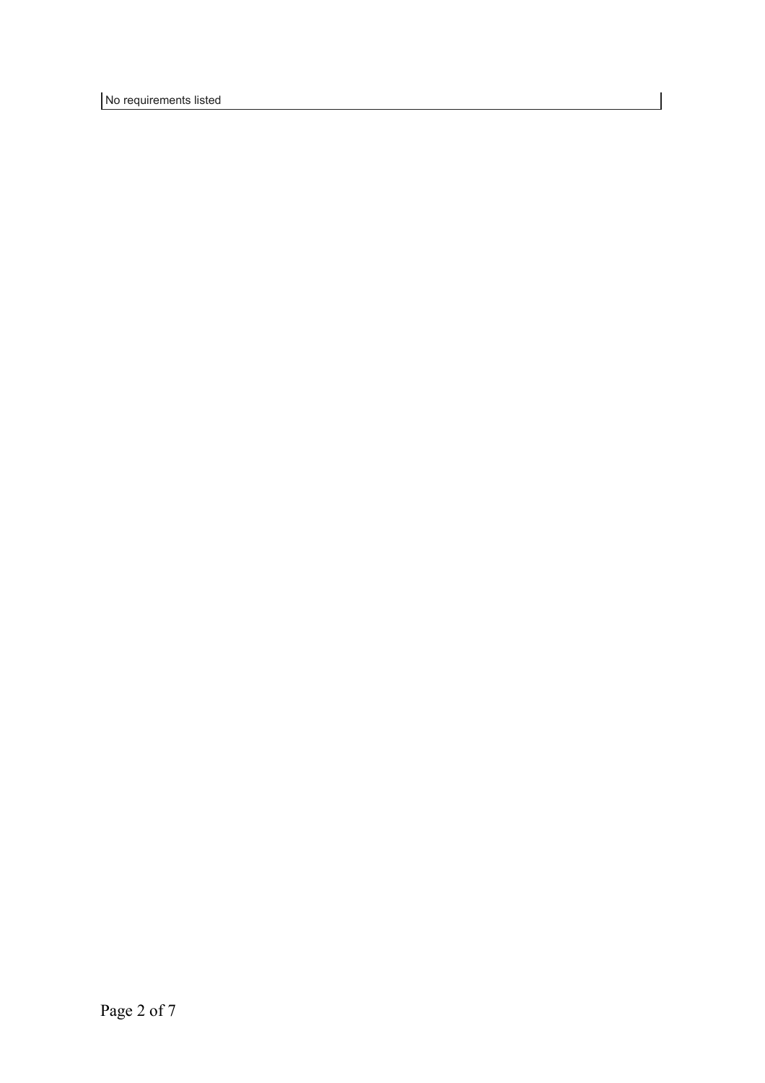No requirements listed

 $\overline{\phantom{a}}$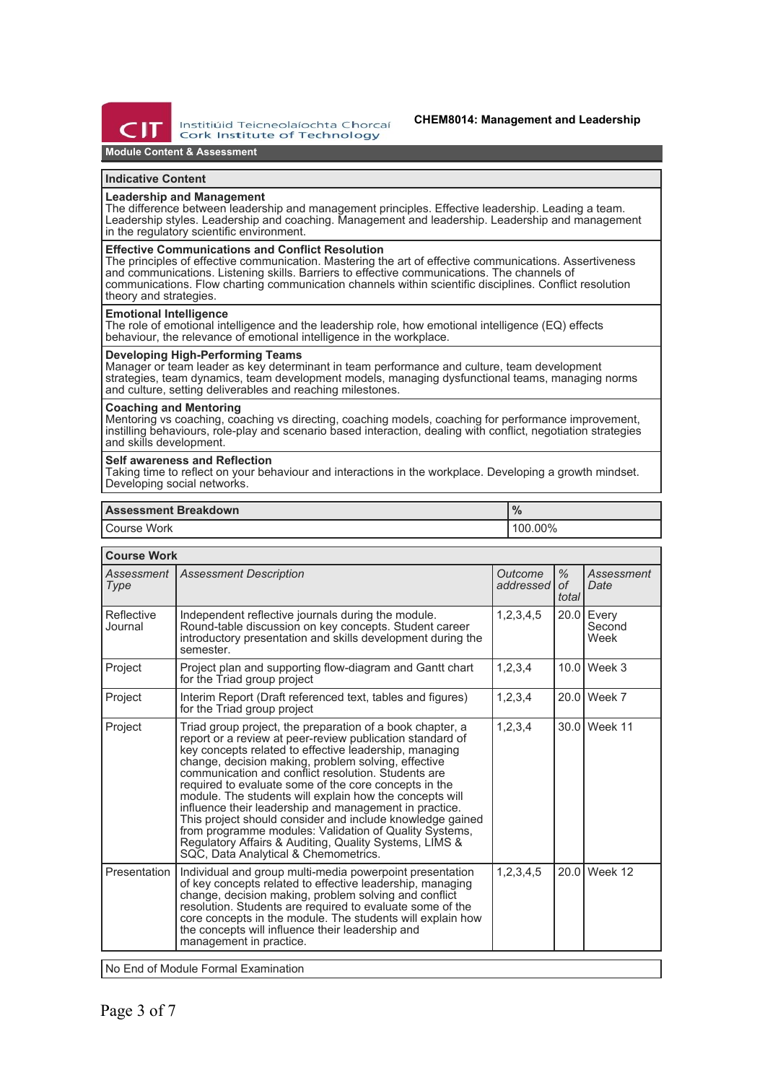

Institiúid Teicneolaíochta Chorcaí **Cork Institute of Technology** 

### **CHEM8014: Management and Leadership**

# **Module Content & Assessment**

## **Indicative Content**

# **Leadership and Management**

The difference between leadership and management principles. Effective leadership. Leading a team. Leadership styles. Leadership and coaching. Management and leadership. Leadership and management in the regulatory scientific environment.

### **Effective Communications and Conflict Resolution**

The principles of effective communication. Mastering the art of effective communications. Assertiveness and communications. Listening skills. Barriers to effective communications. The channels of communications. Flow charting communication channels within scientific disciplines. Conflict resolution theory and strategies.

#### **Emotional Intelligence**

The role of emotional intelligence and the leadership role, how emotional intelligence (EQ) effects behaviour, the relevance of emotional intelligence in the workplace.

# **Developing High-Performing Teams**

Manager or team leader as key determinant in team performance and culture, team development strategies, team dynamics, team development models, managing dysfunctional teams, managing norms and culture, setting deliverables and reaching milestones.

#### **Coaching and Mentoring**

Mentoring vs coaching, coaching vs directing, coaching models, coaching for performance improvement, instilling behaviours, role-play and scenario based interaction, dealing with conflict, negotiation strategies and skills development.

### **Self awareness and Reflection**

Taking time to reflect on your behaviour and interactions in the workplace. Developing a growth mindset. Developing social networks.

### **Assessment Breakdown %**

Course Work **100.00% 100.00%** 

| <b>Course Work</b>    |                                                                                                                                                                                                                                                                                                                                                                                                                                                                                                                                                                                                                                                                                                       |                      |                           |                         |  |
|-----------------------|-------------------------------------------------------------------------------------------------------------------------------------------------------------------------------------------------------------------------------------------------------------------------------------------------------------------------------------------------------------------------------------------------------------------------------------------------------------------------------------------------------------------------------------------------------------------------------------------------------------------------------------------------------------------------------------------------------|----------------------|---------------------------|-------------------------|--|
| Assessment<br>Type    | <b>Assessment Description</b>                                                                                                                                                                                                                                                                                                                                                                                                                                                                                                                                                                                                                                                                         | Outcome<br>addressed | $\%$<br>$\Omega$<br>total | Assessment<br>Date      |  |
| Reflective<br>Journal | Independent reflective journals during the module.<br>Round-table discussion on key concepts. Student career<br>introductory presentation and skills development during the<br>semester.                                                                                                                                                                                                                                                                                                                                                                                                                                                                                                              | 1, 2, 3, 4, 5        | 20.0                      | Every<br>Second<br>Week |  |
| Project               | Project plan and supporting flow-diagram and Gantt chart<br>for the Triad group project                                                                                                                                                                                                                                                                                                                                                                                                                                                                                                                                                                                                               | 1, 2, 3, 4           | 10.0                      | Week 3                  |  |
| Project               | Interim Report (Draft referenced text, tables and figures)<br>for the Triad group project                                                                                                                                                                                                                                                                                                                                                                                                                                                                                                                                                                                                             | 1,2,3,4              | 20.0                      | Week 7                  |  |
| Project               | Triad group project, the preparation of a book chapter, a<br>report or a review at peer-review publication standard of<br>key concepts related to effective leadership, managing<br>change, decision making, problem solving, effective<br>communication and conflict resolution. Students are<br>required to evaluate some of the core concepts in the<br>module. The students will explain how the concepts will<br>influence their leadership and management in practice.<br>This project should consider and include knowledge gained<br>from programme modules: Validation of Quality Systems,<br>Regulatory Affairs & Auditing, Quality Systems, LIMS &<br>SQC, Data Analytical & Chemometrics. | 1,2,3,4              | 30.0                      | Week 11                 |  |
| Presentation          | Individual and group multi-media powerpoint presentation<br>of key concepts related to effective leadership, managing<br>change, decision making, problem solving and conflict<br>resolution. Students are required to evaluate some of the<br>core concepts in the module. The students will explain how<br>the concepts will influence their leadership and<br>management in practice.                                                                                                                                                                                                                                                                                                              | 1, 2, 3, 4, 5        | 20.0                      | Week 12                 |  |
|                       |                                                                                                                                                                                                                                                                                                                                                                                                                                                                                                                                                                                                                                                                                                       |                      |                           |                         |  |

No End of Module Formal Examination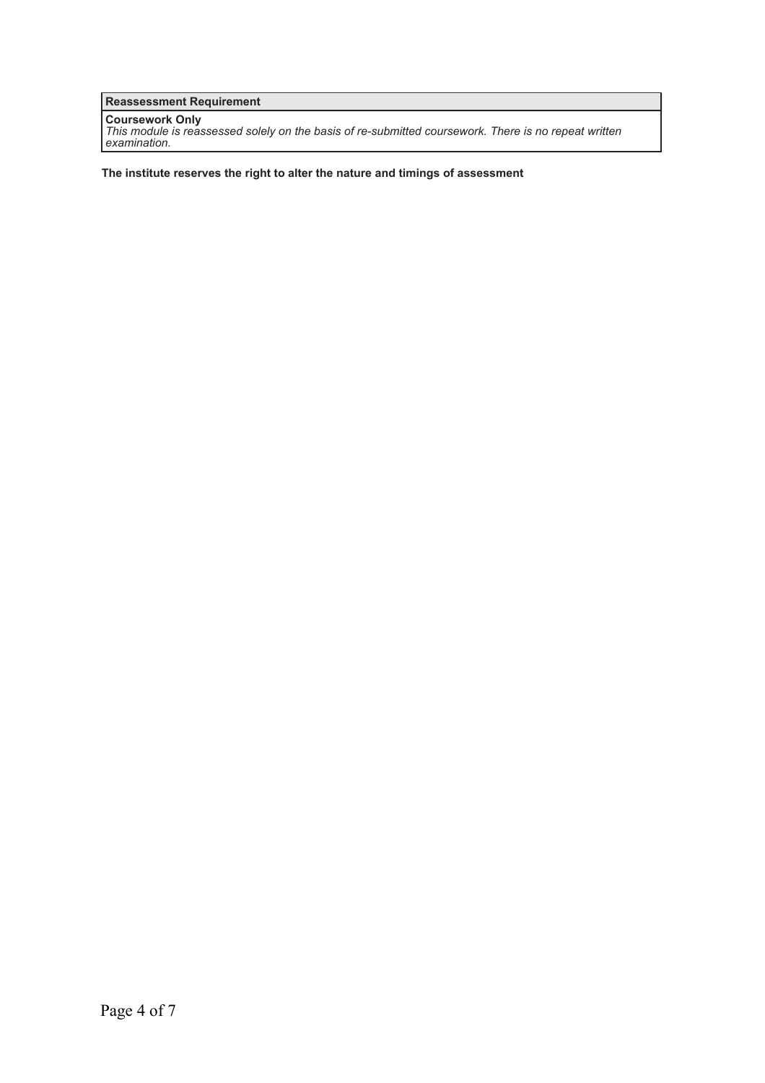**Reassessment Requirement**

**Coursework Only** *This module is reassessed solely on the basis of re-submitted coursework. There is no repeat written examination.*

**The institute reserves the right to alter the nature and timings of assessment**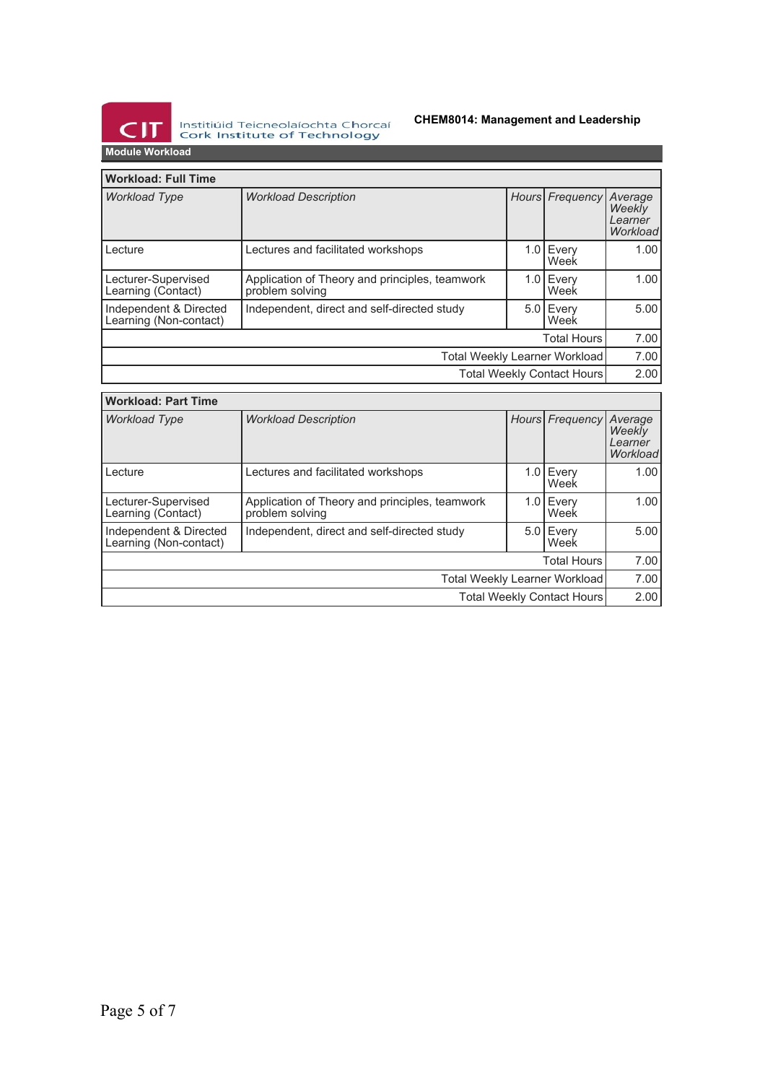

Institiúid Teicneolaíochta Chorcaí<br>Cork Institute of Technology

# **CHEM8014: Management and Leadership**

**Module Workload**

| <b>Workload: Full Time</b>                       |                                                                   |  |                   |                                          |
|--------------------------------------------------|-------------------------------------------------------------------|--|-------------------|------------------------------------------|
| <b>Workload Type</b>                             | <b>Workload Description</b>                                       |  | Hours Frequency   | Average<br>Weekly<br>Learner<br>Workload |
| Lecture                                          | Lectures and facilitated workshops                                |  | 1.0 Every<br>Week | 1.00 <sub>l</sub>                        |
| Lecturer-Supervised<br>Learning (Contact)        | Application of Theory and principles, teamwork<br>problem solving |  | 1.0 Every<br>Week | 1.00                                     |
| Independent & Directed<br>Learning (Non-contact) | Independent, direct and self-directed study                       |  | 5.0 Every<br>Week | 5.00                                     |
| <b>Total Hours</b>                               |                                                                   |  |                   | 7.00                                     |
| Total Weekly Learner Workload                    |                                                                   |  |                   | 7.00                                     |
| <b>Total Weekly Contact Hours</b>                |                                                                   |  |                   | 2.00                                     |

| <b>Workload: Part Time</b>                       |                                                                   |  |                   |                                          |
|--------------------------------------------------|-------------------------------------------------------------------|--|-------------------|------------------------------------------|
| <b>Workload Type</b>                             | <b>Workload Description</b>                                       |  | Hours Frequency   | Average<br>Weekly<br>Learner<br>Workload |
| Lecture                                          | Lectures and facilitated workshops                                |  | 1.0 Every<br>Week | 1.00                                     |
| Lecturer-Supervised<br>Learning (Contact)        | Application of Theory and principles, teamwork<br>problem solving |  | 1.0 Every<br>Week | 1.00                                     |
| Independent & Directed<br>Learning (Non-contact) | Independent, direct and self-directed study                       |  | 5.0 Every<br>Week | 5.00                                     |
| <b>Total Hours</b>                               |                                                                   |  |                   | 7.00                                     |
| Total Weekly Learner Workload                    |                                                                   |  |                   | 7.00                                     |
| Total Weekly Contact Hours                       |                                                                   |  |                   | 2.00                                     |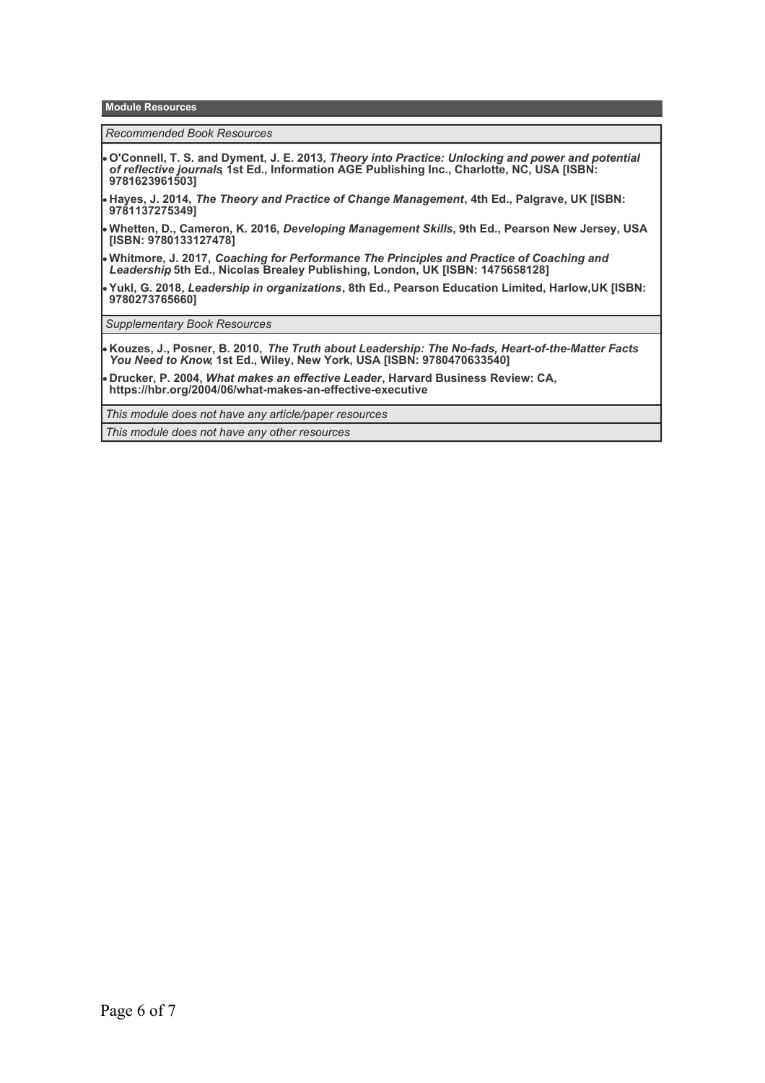**Module Resources**

*Recommended Book Resources*

- **O'Connell, T. S. and Dyment, J. E. 2013,** *Theory into Practice: Unlocking and power and potential of reflective journals***, 1st Ed., Information AGE Publishing Inc., Charlotte, NC, USA [ISBN: 9781623961503]**
- **Hayes, J. 2014,** *The Theory and Practice of Change Management***, 4th Ed., Palgrave, UK [ISBN: 9781137275349]**
- **Whetten, D., Cameron, K. 2016,** *Developing Management Skills***, 9th Ed., Pearson New Jersey, USA [ISBN: 9780133127478]**
- **Whitmore, J. 2017,** *Coaching for Performance The Principles and Practice of Coaching and Leadership***, 5th Ed., Nicolas Brealey Publishing, London, UK [ISBN: 1475658128]**
- **Yukl, G. 2018,** *Leadership in organizations***, 8th Ed., Pearson Education Limited, Harlow,UK [ISBN: 9780273765660]**

*Supplementary Book Resources*

**Kouzes, J., Posner, B. 2010,** *The Truth about Leadership: The No-fads, Heart-of-the-Matter Facts You Need to Know***, 1st Ed., Wiley, New York, USA [ISBN: 9780470633540]**

**Drucker, P. 2004,** *What makes an effective Leader***, Harvard Business Review: CA, https://hbr.org/2004/06/what-makes-an-effective-executive**

*This module does not have any article/paper resources*

*This module does not have any other resources*